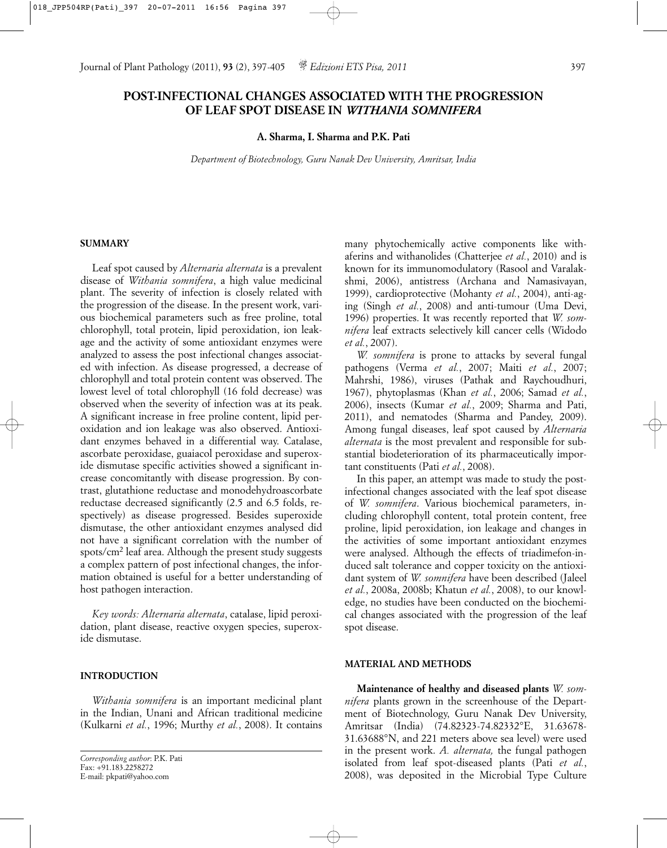# **POST-INFECTIONAL CHANGES ASSOCIATED WITH THE PROGRESSION OF LEAF SPOT DISEASE IN** *WITHANIA SOMNIFERA*

**A. Sharma, I. Sharma and P.K. Pati**

*Department of Biotechnology, Guru Nanak Dev University, Amritsar, India*

## **SUMMARY**

Leaf spot caused by *Alternaria alternata* is a prevalent disease of *Withania somnifera*, a high value medicinal plant. The severity of infection is closely related with the progression of the disease. In the present work, various biochemical parameters such as free proline, total chlorophyll, total protein, lipid peroxidation, ion leakage and the activity of some antioxidant enzymes were analyzed to assess the post infectional changes associated with infection. As disease progressed, a decrease of chlorophyll and total protein content was observed. The lowest level of total chlorophyll (16 fold decrease) was observed when the severity of infection was at its peak. A significant increase in free proline content, lipid peroxidation and ion leakage was also observed. Antioxidant enzymes behaved in a differential way. Catalase, ascorbate peroxidase, guaiacol peroxidase and superoxide dismutase specific activities showed a significant increase concomitantly with disease progression. By contrast, glutathione reductase and monodehydroascorbate reductase decreased significantly (2.5 and 6.5 folds, respectively) as disease progressed. Besides superoxide dismutase, the other antioxidant enzymes analysed did not have a significant correlation with the number of spots/cm2 leaf area. Although the present study suggests a complex pattern of post infectional changes, the information obtained is useful for a better understanding of host pathogen interaction.

*Key words: Alternaria alternata*, catalase, lipid peroxidation, plant disease, reactive oxygen species, superoxide dismutase.

## **INTRODUCTION**

*Withania somnifera* is an important medicinal plant in the Indian, Unani and African traditional medicine (Kulkarni *et al.*, 1996; Murthy *et al.*, 2008). It contains many phytochemically active components like withaferins and withanolides (Chatterjee *et al.*, 2010) and is known for its immunomodulatory (Rasool and Varalakshmi, 2006), antistress (Archana and Namasivayan, 1999), cardioprotective (Mohanty *et al.*, 2004), anti-aging (Singh *et al.*, 2008) and anti-tumour (Uma Devi, 1996) properties. It was recently reported that *W. somnifera* leaf extracts selectively kill cancer cells (Widodo *et al.*, 2007).

*W. somnifera* is prone to attacks by several fungal pathogens (Verma *et al.*, 2007; Maiti *et al.*, 2007; Mahrshi, 1986), viruses (Pathak and Raychoudhuri, 1967), phytoplasmas (Khan *et al.*, 2006; Samad *et al.*, 2006), insects (Kumar *et al.*, 2009; Sharma and Pati, 2011), and nematodes (Sharma and Pandey, 2009). Among fungal diseases, leaf spot caused by *Alternaria alternata* is the most prevalent and responsible for substantial biodeterioration of its pharmaceutically important constituents (Pati *et al.*, 2008).

In this paper, an attempt was made to study the postinfectional changes associated with the leaf spot disease of *W. somnifera*. Various biochemical parameters, including chlorophyll content, total protein content, free proline, lipid peroxidation, ion leakage and changes in the activities of some important antioxidant enzymes were analysed. Although the effects of triadimefon-induced salt tolerance and copper toxicity on the antioxidant system of *W. somnifera* have been described (Jaleel *et al.*, 2008a, 2008b; Khatun *et al.*, 2008), to our knowledge, no studies have been conducted on the biochemical changes associated with the progression of the leaf spot disease.

#### **MATERIAL AND METHODS**

**Maintenance of healthy and diseased plants** *W. somnifera* plants grown in the screenhouse of the Department of Biotechnology, Guru Nanak Dev University, Amritsar (India) (74.82323-74.82332°E, 31.63678- 31.63688°N, and 221 meters above sea level) were used in the present work. *A. alternata,* the fungal pathogen isolated from leaf spot-diseased plants (Pati *et al.*, 2008), was deposited in the Microbial Type Culture

*Corresponding author*: P.K. Pati Fax: +91.183.2258272 E-mail: pkpati@yahoo.com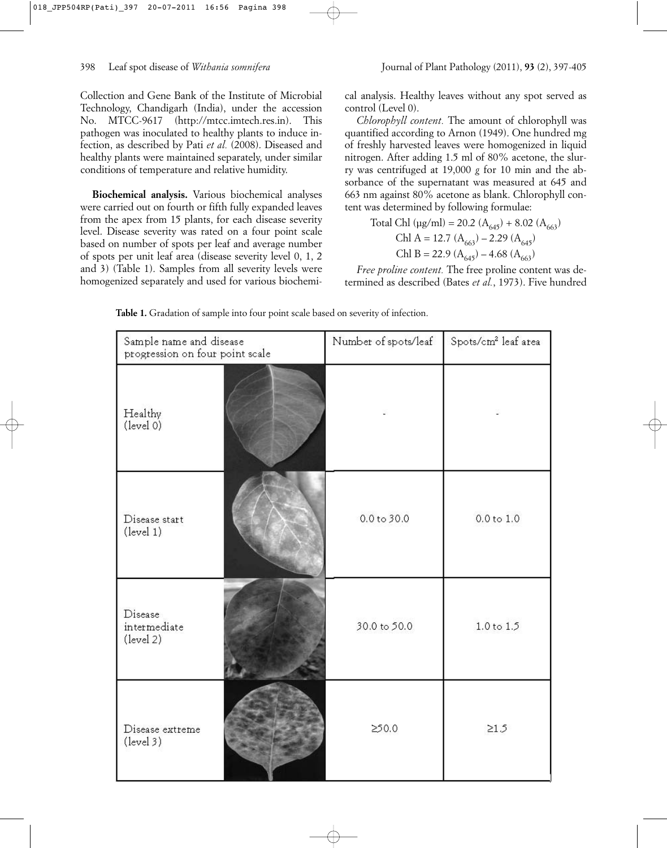Collection and Gene Bank of the Institute of Microbial Technology, Chandigarh (India), under the accession No. MTCC-9617 (http://mtcc.imtech.res.in). This pathogen was inoculated to healthy plants to induce infection, as described by Pati *et al.* (2008). Diseased and healthy plants were maintained separately, under similar conditions of temperature and relative humidity.

**Biochemical analysis.** Various biochemical analyses were carried out on fourth or fifth fully expanded leaves from the apex from 15 plants, for each disease severity level. Disease severity was rated on a four point scale based on number of spots per leaf and average number of spots per unit leaf area (disease severity level 0, 1, 2 and 3) (Table 1). Samples from all severity levels were homogenized separately and used for various biochemical analysis. Healthy leaves without any spot served as control (Level 0).

*Chlorophyll content.* The amount of chlorophyll was quantified according to Arnon (1949). One hundred mg of freshly harvested leaves were homogenized in liquid nitrogen. After adding 1.5 ml of 80% acetone, the slurry was centrifuged at 19,000 *g* for 10 min and the absorbance of the supernatant was measured at 645 and 663 nm against 80% acetone as blank. Chlorophyll content was determined by following formulae:

Total Chl (µg/ml) = 20.2 (A645) + 8.02 (A663) Chl A = 12.7 (A663) – 2.29 (A645) Chl B = 22.9 (A645) – 4.68 (A663)

*Free proline content.* The free proline content was determined as described (Bates *et al.*, 1973). Five hundred

| Sample name and disease<br>progression on four point scale |  | Number of spots/leaf    | Spots/cm <sup>2</sup> leaf area |
|------------------------------------------------------------|--|-------------------------|---------------------------------|
| Healthy<br>(level 0)                                       |  |                         |                                 |
| Disease start<br>(level 1)                                 |  | 0.0 t <sub>0</sub> 30.0 | 0.0 to 1.0                      |
| Disease<br>intermediate<br>(level 2)                       |  | 30.0 to 50.0            | 1.0 to 1.5                      |
| Disease extreme<br>$(\text{level } 3)$                     |  | 250.0                   | $\geq1.5$                       |

**Table 1.** Gradation of sample into four point scale based on severity of infection.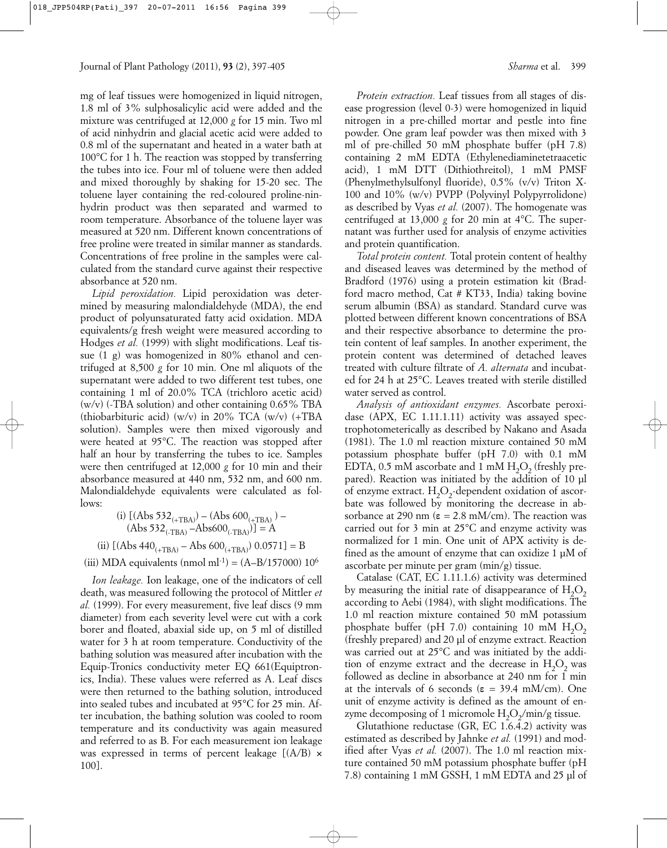mg of leaf tissues were homogenized in liquid nitrogen, 1.8 ml of 3% sulphosalicylic acid were added and the mixture was centrifuged at 12,000 *g* for 15 min. Two ml of acid ninhydrin and glacial acetic acid were added to 0.8 ml of the supernatant and heated in a water bath at 100°C for 1 h. The reaction was stopped by transferring the tubes into ice. Four ml of toluene were then added and mixed thoroughly by shaking for 15-20 sec. The toluene layer containing the red-coloured proline-ninhydrin product was then separated and warmed to room temperature. Absorbance of the toluene layer was measured at 520 nm. Different known concentrations of free proline were treated in similar manner as standards. Concentrations of free proline in the samples were calculated from the standard curve against their respective absorbance at 520 nm.

*Lipid peroxidation.* Lipid peroxidation was determined by measuring malondialdehyde (MDA), the end product of polyunsaturated fatty acid oxidation. MDA equivalents/g fresh weight were measured according to Hodges *et al.* (1999) with slight modifications. Leaf tissue (1 g) was homogenized in 80% ethanol and centrifuged at 8,500 *g* for 10 min. One ml aliquots of the supernatant were added to two different test tubes, one containing 1 ml of 20.0% TCA (trichloro acetic acid)  $(w/v)$  (-TBA solution) and other containing 0.65% TBA (thiobarbituric acid) (w/v) in 20% TCA (w/v) (+TBA solution). Samples were then mixed vigorously and were heated at 95°C. The reaction was stopped after half an hour by transferring the tubes to ice. Samples were then centrifuged at 12,000 *g* for 10 min and their absorbance measured at 440 nm, 532 nm, and 600 nm. Malondialdehyde equivalents were calculated as follows:

(i) 
$$
[(\text{Abs } 532_{(+ \text{TBA})}) - (\text{Abs } 600_{(+ \text{TBA})}) - (\text{Abs } 532_{(+ \text{TBA})} - \text{Abs } 600_{(+ \text{TBA})})] = A
$$
\n(ii)  $[(\text{Abs } 440_{(+ \text{TBA})} - \text{Abs } 600_{(+ \text{TBA})}) 0.0571] = B$ 

(iii) MDA equivalents (nmol ml<sup>-1</sup>) =  $(A-B/157000) 10^6$ 

*Ion leakage.* Ion leakage, one of the indicators of cell death, was measured following the protocol of Mittler *et al.* (1999). For every measurement, five leaf discs (9 mm diameter) from each severity level were cut with a cork borer and floated, abaxial side up, on 5 ml of distilled water for 3 h at room temperature. Conductivity of the bathing solution was measured after incubation with the Equip-Tronics conductivity meter EQ 661(Equiptronics, India). These values were referred as A. Leaf discs were then returned to the bathing solution, introduced into sealed tubes and incubated at 95°C for 25 min. After incubation, the bathing solution was cooled to room temperature and its conductivity was again measured and referred to as B. For each measurement ion leakage was expressed in terms of percent leakage  $[(A/B) \times$ 100].

*Protein extraction.* Leaf tissues from all stages of disease progression (level 0-3) were homogenized in liquid nitrogen in a pre-chilled mortar and pestle into fine powder. One gram leaf powder was then mixed with 3 ml of pre-chilled 50 mM phosphate buffer (pH 7.8) containing 2 mM EDTA (Ethylenediaminetetraacetic acid), 1 mM DTT (Dithiothreitol), 1 mM PMSF (Phenylmethylsulfonyl fluoride), 0.5% (v/v) Triton X-100 and 10% (w/v) PVPP (Polyvinyl Polypyrrolidone) as described by Vyas *et al.* (2007). The homogenate was centrifuged at 13,000 *g* for 20 min at 4°C. The supernatant was further used for analysis of enzyme activities and protein quantification.

*Total protein content.* Total protein content of healthy and diseased leaves was determined by the method of Bradford (1976) using a protein estimation kit (Bradford macro method, Cat # KT33, India) taking bovine serum albumin (BSA) as standard. Standard curve was plotted between different known concentrations of BSA and their respective absorbance to determine the protein content of leaf samples. In another experiment, the protein content was determined of detached leaves treated with culture filtrate of *A. alternata* and incubated for 24 h at 25°C. Leaves treated with sterile distilled water served as control.

*Analysis of antioxidant enzymes.* Ascorbate peroxidase (APX, EC 1.11.1.11) activity was assayed spectrophotometerically as described by Nakano and Asada (1981). The 1.0 ml reaction mixture contained 50 mM potassium phosphate buffer (pH 7.0) with 0.1 mM EDTA, 0.5 mM ascorbate and 1 mM  $H<sub>2</sub>O<sub>2</sub>$  (freshly prepared). Reaction was initiated by the addition of 10 µl of enzyme extract.  $H_2O_2$ -dependent oxidation of ascorbate was followed by monitoring the decrease in absorbance at 290 nm ( $\varepsilon = 2.8$  mM/cm). The reaction was carried out for 3 min at 25°C and enzyme activity was normalized for 1 min. One unit of APX activity is defined as the amount of enzyme that can oxidize 1 µM of ascorbate per minute per gram (min/g) tissue.

Catalase (CAT, EC 1.11.1.6) activity was determined by measuring the initial rate of disappearance of  $H_2O_2$ according to Aebi (1984), with slight modifications. The 1.0 ml reaction mixture contained 50 mM potassium phosphate buffer (pH 7.0) containing 10 mM  $H_2O_2$ (freshly prepared) and 20 µl of enzyme extract. Reaction was carried out at 25°C and was initiated by the addition of enzyme extract and the decrease in  $H_2O_2$  was followed as decline in absorbance at 240 nm for 1 min at the intervals of 6 seconds ( $\varepsilon = 39.4$  mM/cm). One unit of enzyme activity is defined as the amount of enzyme decomposing of 1 micromole  $H_2O_2/min/g$  tissue.

Glutathione reductase (GR, EC 1.6.4.2) activity was estimated as described by Jahnke *et al.* (1991) and modified after Vyas *et al.* (2007). The 1.0 ml reaction mixture contained 50 mM potassium phosphate buffer (pH 7.8) containing 1 mM GSSH, 1 mM EDTA and 25 µl of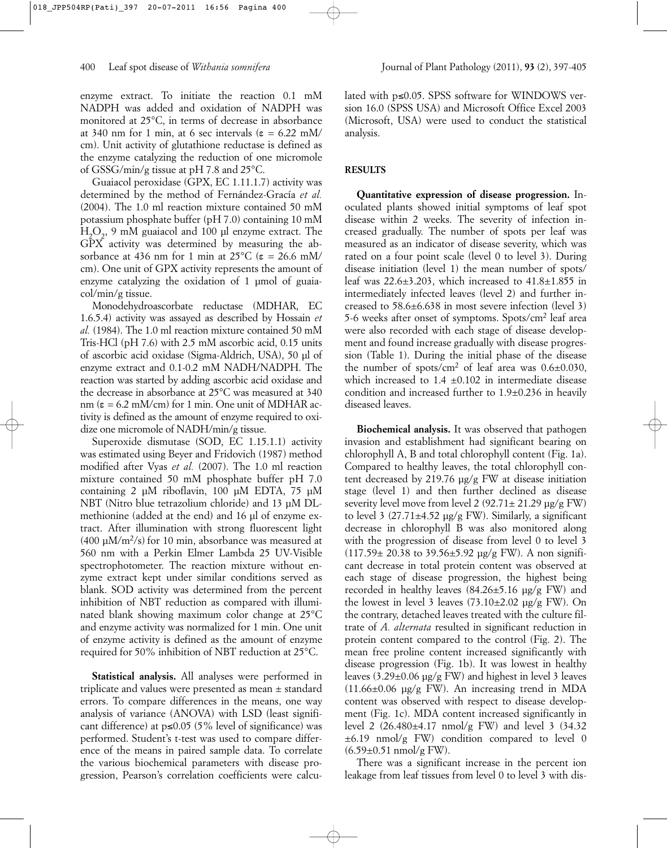enzyme extract. To initiate the reaction 0.1 mM NADPH was added and oxidation of NADPH was monitored at 25°C, in terms of decrease in absorbance at 340 nm for 1 min, at 6 sec intervals ( $\varepsilon = 6.22$  mM/ cm). Unit activity of glutathione reductase is defined as the enzyme catalyzing the reduction of one micromole of GSSG/min/g tissue at pH 7.8 and 25°C.

Guaiacol peroxidase (GPX, EC 1.11.1.7) activity was determined by the method of Fernández-Gracía *et al.* (2004). The 1.0 ml reaction mixture contained 50 mM potassium phosphate buffer (pH 7.0) containing 10 mM  $H_2O_2$ , 9 mM guaiacol and 100 µl enzyme extract. The GPX activity was determined by measuring the absorbance at 436 nm for 1 min at  $25^{\circ}$ C ( $\varepsilon = 26.6$  mM/ cm). One unit of GPX activity represents the amount of enzyme catalyzing the oxidation of 1 µmol of guaiacol/min/g tissue.

Monodehydroascorbate reductase (MDHAR, EC 1.6.5.4) activity was assayed as described by Hossain *et al.* (1984). The 1.0 ml reaction mixture contained 50 mM Tris-HCl (pH 7.6) with 2.5 mM ascorbic acid, 0.15 units of ascorbic acid oxidase (Sigma-Aldrich, USA), 50 µl of enzyme extract and 0.1-0.2 mM NADH/NADPH. The reaction was started by adding ascorbic acid oxidase and the decrease in absorbance at 25°C was measured at 340 nm ( $\varepsilon$  = 6.2 mM/cm) for 1 min. One unit of MDHAR activity is defined as the amount of enzyme required to oxidize one micromole of NADH/min/g tissue.

Superoxide dismutase (SOD, EC 1.15.1.1) activity was estimated using Beyer and Fridovich (1987) method modified after Vyas *et al.* (2007). The 1.0 ml reaction mixture contained 50 mM phosphate buffer pH 7.0 containing 2 µM riboflavin, 100 µM EDTA, 75 µM NBT (Nitro blue tetrazolium chloride) and 13 µM DLmethionine (added at the end) and 16 µl of enzyme extract. After illumination with strong fluorescent light  $(400 \mu M/m^2/s)$  for 10 min, absorbance was measured at 560 nm with a Perkin Elmer Lambda 25 UV-Visible spectrophotometer. The reaction mixture without enzyme extract kept under similar conditions served as blank. SOD activity was determined from the percent inhibition of NBT reduction as compared with illuminated blank showing maximum color change at 25°C and enzyme activity was normalized for 1 min. One unit of enzyme activity is defined as the amount of enzyme required for 50% inhibition of NBT reduction at 25°C.

**Statistical analysis.** All analyses were performed in triplicate and values were presented as mean ± standard errors. To compare differences in the means, one way analysis of variance (ANOVA) with LSD (least significant difference) at  $p \le 0.05$  (5% level of significance) was performed. Student's t-test was used to compare difference of the means in paired sample data. To correlate the various biochemical parameters with disease progression, Pearson's correlation coefficients were calculated with p≤0.05. SPSS software for WINDOWS version 16.0 (SPSS USA) and Microsoft Office Excel 2003 (Microsoft, USA) were used to conduct the statistical analysis.

#### **RESULTS**

**Quantitative expression of disease progression.** Inoculated plants showed initial symptoms of leaf spot disease within 2 weeks. The severity of infection increased gradually. The number of spots per leaf was measured as an indicator of disease severity, which was rated on a four point scale (level 0 to level 3). During disease initiation (level 1) the mean number of spots/ leaf was  $22.6\pm3.203$ , which increased to  $41.8\pm1.855$  in intermediately infected leaves (level 2) and further increased to 58.6±6.638 in most severe infection (level 3) 5-6 weeks after onset of symptoms. Spots/cm2 leaf area were also recorded with each stage of disease development and found increase gradually with disease progression (Table 1). During the initial phase of the disease the number of spots/cm<sup>2</sup> of leaf area was  $0.6\pm0.030$ , which increased to  $1.4 \pm 0.102$  in intermediate disease condition and increased further to 1.9±0.236 in heavily diseased leaves.

**Biochemical analysis.** It was observed that pathogen invasion and establishment had significant bearing on chlorophyll A, B and total chlorophyll content (Fig. 1a). Compared to healthy leaves, the total chlorophyll content decreased by 219.76 µg/g FW at disease initiation stage (level 1) and then further declined as disease severity level move from level 2  $(92.71 \pm 21.29 \,\mu g/g \, \text{FW})$ to level 3 (27.71±4.52 µg/g FW). Similarly, a significant decrease in chlorophyll B was also monitored along with the progression of disease from level 0 to level 3  $(117.59 \pm 20.38 \text{ to } 39.56 \pm 5.92 \text{ µg/g FW})$ . A non significant decrease in total protein content was observed at each stage of disease progression, the highest being recorded in healthy leaves  $(84.26\pm5.16 \text{ µg/g FW})$  and the lowest in level 3 leaves  $(73.10\pm2.02 \text{ µg/g FW})$ . On the contrary, detached leaves treated with the culture filtrate of *A. alternata* resulted in significant reduction in protein content compared to the control (Fig. 2). The mean free proline content increased significantly with disease progression (Fig. 1b). It was lowest in healthy leaves (3.29±0.06 µg/g FW) and highest in level 3 leaves  $(11.66\pm0.06 \text{ µg/g FW})$ . An increasing trend in MDA content was observed with respect to disease development (Fig. 1c). MDA content increased significantly in level 2 (26.480±4.17 nmol/g FW) and level 3 (34.32 ±6.19 nmol/g FW) condition compared to level 0  $(6.59 \pm 0.51 \text{ nmol/g FW})$ .

There was a significant increase in the percent ion leakage from leaf tissues from level 0 to level 3 with dis-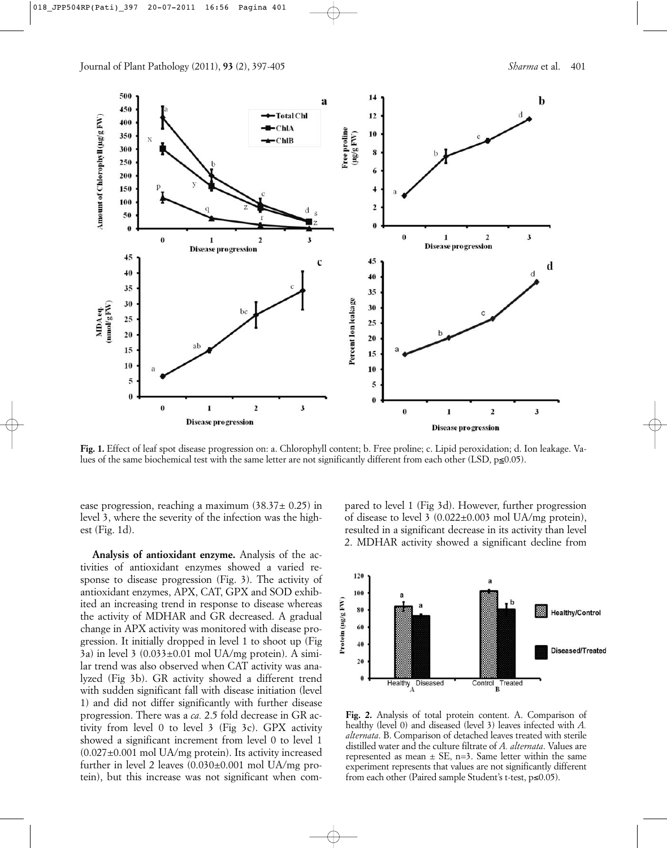

**Fig. 1.** Effect of leaf spot disease progression on: a. Chlorophyll content; b. Free proline; c. Lipid peroxidation; d. Ion leakage. Values of the same biochemical test with the same letter are not significantly different from each other (LSD,  $p\simeq 0.05$ ).

ease progression, reaching a maximum  $(38.37 \pm 0.25)$  in level 3, where the severity of the infection was the highest (Fig. 1d).

**Analysis of antioxidant enzyme.** Analysis of the activities of antioxidant enzymes showed a varied response to disease progression (Fig. 3). The activity of antioxidant enzymes, APX, CAT, GPX and SOD exhibited an increasing trend in response to disease whereas the activity of MDHAR and GR decreased. A gradual change in APX activity was monitored with disease progression. It initially dropped in level 1 to shoot up (Fig  $3a$ ) in level  $3(0.033\pm0.01 \text{ mol } UA/mg$  protein). A similar trend was also observed when CAT activity was analyzed (Fig 3b). GR activity showed a different trend with sudden significant fall with disease initiation (level 1) and did not differ significantly with further disease progression. There was a *ca.* 2.5 fold decrease in GR activity from level 0 to level 3 (Fig 3c). GPX activity showed a significant increment from level 0 to level 1  $(0.027 \pm 0.001$  mol UA/mg protein). Its activity increased further in level 2 leaves (0.030±0.001 mol UA/mg protein), but this increase was not significant when compared to level 1 (Fig 3d). However, further progression of disease to level 3 (0.022±0.003 mol UA/mg protein), resulted in a significant decrease in its activity than level 2. MDHAR activity showed a significant decline from



**Fig. 2.** Analysis of total protein content. A. Comparison of healthy (level 0) and diseased (level 3) leaves infected with *A. alternata*. B. Comparison of detached leaves treated with sterile distilled water and the culture filtrate of *A. alternata*. Values are represented as mean  $\pm$  SE, n=3. Same letter within the same experiment represents that values are not significantly different from each other (Paired sample Student's t-test, p≤0.05).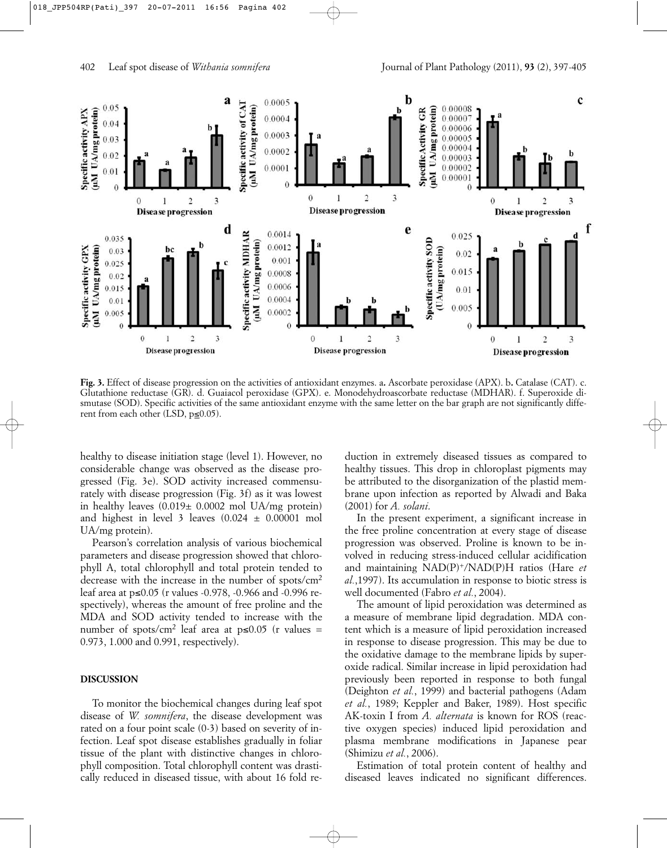

**Fig. 3.** Effect of disease progression on the activities of antioxidant enzymes. a**.** Ascorbate peroxidase (APX). b**.** Catalase (CAT). c. Glutathione reductase (GR). d. Guaiacol peroxidase (GPX). e. Monodehydroascorbate reductase (MDHAR). f. Superoxide dismutase (SOD). Specific activities of the same antioxidant enzyme with the same letter on the bar graph are not significantly different from each other (LSD,  $p \leq 0.05$ ).

healthy to disease initiation stage (level 1). However, no considerable change was observed as the disease progressed (Fig. 3e). SOD activity increased commensurately with disease progression (Fig. 3f) as it was lowest in healthy leaves (0.019± 0.0002 mol UA/mg protein) and highest in level 3 leaves  $(0.024 \pm 0.00001$  mol UA/mg protein).

Pearson's correlation analysis of various biochemical parameters and disease progression showed that chlorophyll A, total chlorophyll and total protein tended to decrease with the increase in the number of spots/cm2 leaf area at p≤0.05 (r values -0.978, -0.966 and -0.996 respectively), whereas the amount of free proline and the MDA and SOD activity tended to increase with the number of spots/cm<sup>2</sup> leaf area at  $p\leq 0.05$  (r values = 0.973, 1.000 and 0.991, respectively).

#### **DISCUSSION**

To monitor the biochemical changes during leaf spot disease of *W. somnifera*, the disease development was rated on a four point scale (0-3) based on severity of infection. Leaf spot disease establishes gradually in foliar tissue of the plant with distinctive changes in chlorophyll composition. Total chlorophyll content was drastically reduced in diseased tissue, with about 16 fold reduction in extremely diseased tissues as compared to healthy tissues. This drop in chloroplast pigments may be attributed to the disorganization of the plastid membrane upon infection as reported by Alwadi and Baka (2001) for *A. solani*.

In the present experiment, a significant increase in the free proline concentration at every stage of disease progression was observed. Proline is known to be involved in reducing stress-induced cellular acidification and maintaining NAD(P)+/NAD(P)H ratios (Hare *et al.*,1997). Its accumulation in response to biotic stress is well documented (Fabro *et al.*, 2004).

The amount of lipid peroxidation was determined as a measure of membrane lipid degradation. MDA content which is a measure of lipid peroxidation increased in response to disease progression. This may be due to the oxidative damage to the membrane lipids by superoxide radical. Similar increase in lipid peroxidation had previously been reported in response to both fungal (Deighton *et al.*, 1999) and bacterial pathogens (Adam *et al.*, 1989; Keppler and Baker, 1989). Host specific AK-toxin I from *A. alternata* is known for ROS (reactive oxygen species) induced lipid peroxidation and plasma membrane modifications in Japanese pear (Shimizu *et al.*, 2006).

Estimation of total protein content of healthy and diseased leaves indicated no significant differences.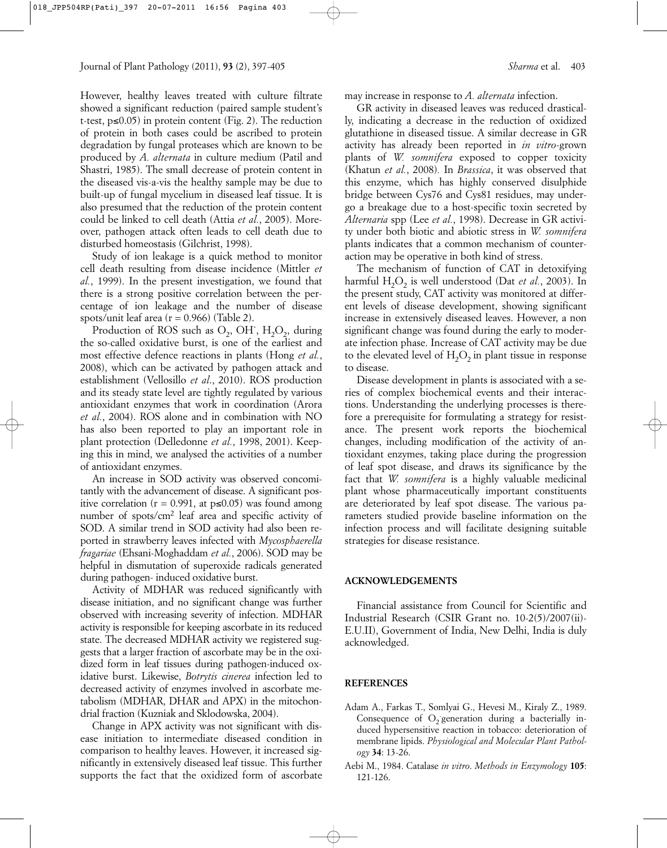However, healthy leaves treated with culture filtrate showed a significant reduction (paired sample student's t-test, p≤0.05) in protein content (Fig. 2). The reduction of protein in both cases could be ascribed to protein degradation by fungal proteases which are known to be produced by *A. alternata* in culture medium (Patil and Shastri, 1985). The small decrease of protein content in the diseased vis-a-vis the healthy sample may be due to built-up of fungal mycelium in diseased leaf tissue. It is also presumed that the reduction of the protein content could be linked to cell death (Attia *et al.*, 2005). Moreover, pathogen attack often leads to cell death due to disturbed homeostasis (Gilchrist, 1998).

Study of ion leakage is a quick method to monitor cell death resulting from disease incidence (Mittler *et al.*, 1999). In the present investigation, we found that there is a strong positive correlation between the percentage of ion leakage and the number of disease spots/unit leaf area  $(r = 0.966)$  (Table 2).

Production of ROS such as  $O_2$ , OH<sup> $\cdot$ </sup>, H<sub>2</sub>O<sub>2</sub>, during the so-called oxidative burst, is one of the earliest and most effective defence reactions in plants (Hong *et al.*, 2008), which can be activated by pathogen attack and establishment (Vellosillo *et al*., 2010). ROS production and its steady state level are tightly regulated by various antioxidant enzymes that work in coordination (Arora *et al.*, 2004). ROS alone and in combination with NO has also been reported to play an important role in plant protection (Delledonne *et al.*, 1998, 2001). Keeping this in mind, we analysed the activities of a number of antioxidant enzymes.

An increase in SOD activity was observed concomitantly with the advancement of disease. A significant positive correlation ( $r = 0.991$ , at  $p≤0.05$ ) was found among number of spots/cm<sup>2</sup> leaf area and specific activity of SOD. A similar trend in SOD activity had also been reported in strawberry leaves infected with *Mycosphaerella fragariae* (Ehsani-Moghaddam *et al.*, 2006). SOD may be helpful in dismutation of superoxide radicals generated during pathogen- induced oxidative burst.

Activity of MDHAR was reduced significantly with disease initiation, and no significant change was further observed with increasing severity of infection. MDHAR activity is responsible for keeping ascorbate in its reduced state. The decreased MDHAR activity we registered suggests that a larger fraction of ascorbate may be in the oxidized form in leaf tissues during pathogen-induced oxidative burst. Likewise, *Botrytis cinerea* infection led to decreased activity of enzymes involved in ascorbate metabolism (MDHAR, DHAR and APX) in the mitochondrial fraction (Kuzniak and Sklodowska, 2004).

Change in APX activity was not significant with disease initiation to intermediate diseased condition in comparison to healthy leaves. However, it increased significantly in extensively diseased leaf tissue. This further supports the fact that the oxidized form of ascorbate may increase in response to *A. alternata* infection.

GR activity in diseased leaves was reduced drastically, indicating a decrease in the reduction of oxidized glutathione in diseased tissue. A similar decrease in GR activity has already been reported in *in vitro*-grown plants of *W. somnifera* exposed to copper toxicity (Khatun *et al.*, 2008)*.* In *Brassica*, it was observed that this enzyme, which has highly conserved disulphide bridge between Cys76 and Cys81 residues, may undergo a breakage due to a host-specific toxin secreted by *Alternaria* spp (Lee *et al.*, 1998). Decrease in GR activity under both biotic and abiotic stress in *W. somnifera* plants indicates that a common mechanism of counteraction may be operative in both kind of stress.

The mechanism of function of CAT in detoxifying harmful H<sub>2</sub>O<sub>2</sub> is well understood (Dat *et al.*, 2003). In the present study, CAT activity was monitored at different levels of disease development, showing significant increase in extensively diseased leaves. However, a non significant change was found during the early to moderate infection phase. Increase of CAT activity may be due to the elevated level of  $H_2O_2$  in plant tissue in response to disease.

Disease development in plants is associated with a series of complex biochemical events and their interactions. Understanding the underlying processes is therefore a prerequisite for formulating a strategy for resistance. The present work reports the biochemical changes, including modification of the activity of antioxidant enzymes, taking place during the progression of leaf spot disease, and draws its significance by the fact that *W. somnifera* is a highly valuable medicinal plant whose pharmaceutically important constituents are deteriorated by leaf spot disease. The various parameters studied provide baseline information on the infection process and will facilitate designing suitable strategies for disease resistance.

#### **ACKNOWLEDGEMENTS**

Financial assistance from Council for Scientific and Industrial Research (CSIR Grant no. 10-2(5)/2007(ii)- E.U.II), Government of India, New Delhi, India is duly acknowledged.

# **REFERENCES**

- Adam A., Farkas T., Somlyai G., Hevesi M., Kiraly Z., 1989. Consequence of  $O_2$  generation during a bacterially induced hypersensitive reaction in tobacco: deterioration of membrane lipids. *Physiological and Molecular Plant Pathology* **34**: 13-26.
- Aebi M., 1984. Catalase *in vitro*. *Methods in Enzymology* **105**: 121-126.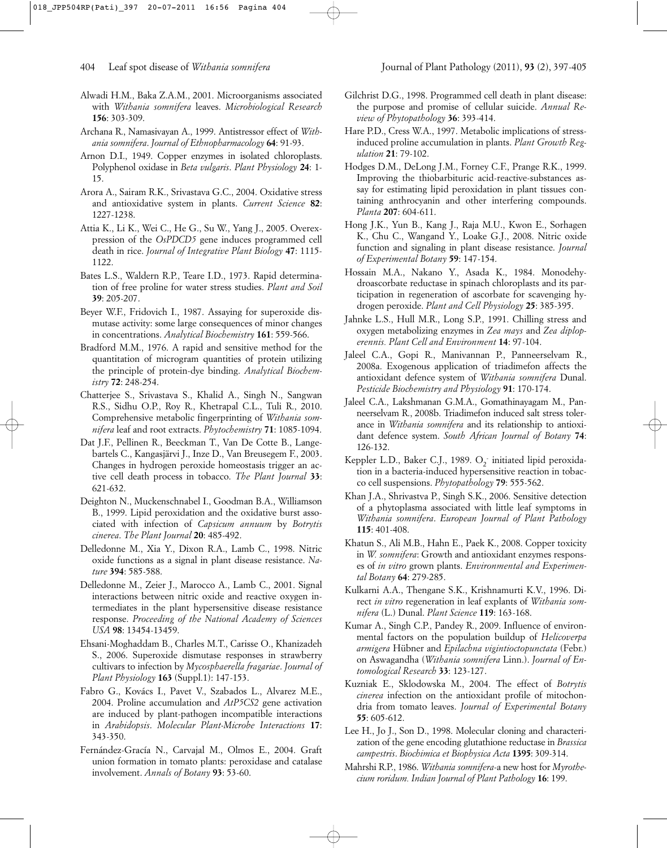- Alwadi H.M., Baka Z.A.M., 2001. Microorganisms associated with *Withania somnifera* leaves. *Microbiological Research* **156**: 303-309.
- Archana R., Namasivayan A., 1999. Antistressor effect of *Withania somnifera*. *Journal of Ethnopharmacology* **64**: 91-93.
- Arnon D.I., 1949. Copper enzymes in isolated chloroplasts. Polyphenol oxidase in *Beta vulgaris*. *Plant Physiology* **24**: 1- 15.
- Arora A., Sairam R.K., Srivastava G.C., 2004. Oxidative stress and antioxidative system in plants. *Current Science* **82**: 1227-1238.
- Attia K., Li K., Wei C., He G., Su W., Yang J., 2005. Overexpression of the *OsPDCD5* gene induces programmed cell death in rice. *Journal of Integrative Plant Biology* **47**: 1115- 1122.
- Bates L.S., Waldern R.P., Teare I.D., 1973. Rapid determination of free proline for water stress studies. *Plant and Soil* **39**: 205-207.
- Beyer W.F., Fridovich I., 1987. Assaying for superoxide dismutase activity: some large consequences of minor changes in concentrations. *Analytical Biochemistry* **161**: 559-566.
- Bradford M.M., 1976. A rapid and sensitive method for the quantitation of microgram quantities of protein utilizing the principle of protein-dye binding. *Analytical Biochemistry* **72**: 248-254.
- Chatterjee S., Srivastava S., Khalid A., Singh N., Sangwan R.S., Sidhu O.P., Roy R., Khetrapal C.L., Tuli R., 2010. Comprehensive metabolic fingerprinting of *Withania somnifera* leaf and root extracts. *Phytochemistry* **71**: 1085-1094.
- Dat J.F., Pellinen R., Beeckman T., Van De Cotte B., Langebartels C., Kangasjärvi J., Inze D., Van Breusegem F., 2003. Changes in hydrogen peroxide homeostasis trigger an active cell death process in tobacco. *The Plant Journal* **33**: 621-632.
- Deighton N., Muckenschnabel I., Goodman B.A., Williamson B., 1999. Lipid peroxidation and the oxidative burst associated with infection of *Capsicum annuum* by *Botrytis cinerea*. *The Plant Journal* **20**: 485-492.
- Delledonne M., Xia Y., Dixon R.A., Lamb C., 1998. Nitric oxide functions as a signal in plant disease resistance. *Nature* **394**: 585-588.
- Delledonne M., Zeier J., Marocco A., Lamb C., 2001. Signal interactions between nitric oxide and reactive oxygen intermediates in the plant hypersensitive disease resistance response. *Proceeding of the National Academy of Sciences USA* **98**: 13454-13459.
- Ehsani-Moghaddam B., Charles M.T., Carisse O., Khanizadeh S., 2006. Superoxide dismutase responses in strawberry cultivars to infection by *Mycosphaerella fragariae*. *Journal of Plant Physiology* **163** (Suppl.1): 147-153.
- Fabro G., Kovács I., Pavet V., Szabados L., Alvarez M.E., 2004. Proline accumulation and *AtP5CS2* gene activation are induced by plant-pathogen incompatible interactions in *Arabidopsis*. *Molecular Plant-Microbe Interactions* **17**: 343-350.
- Fernández-Gracía N., Carvajal M., Olmos E., 2004. Graft union formation in tomato plants: peroxidase and catalase involvement. *Annals of Botany* **93**: 53-60.
- Gilchrist D.G., 1998. Programmed cell death in plant disease: the purpose and promise of cellular suicide. *Annual Review of Phytopathology* **36**: 393-414.
- Hare P.D., Cress W.A., 1997. Metabolic implications of stressinduced proline accumulation in plants. *Plant Growth Regulation* **21**: 79-102.
- Hodges D.M., DeLong J.M., Forney C.F., Prange R.K., 1999. Improving the thiobarbituric acid-reactive-substances assay for estimating lipid peroxidation in plant tissues containing anthrocyanin and other interfering compounds. *Planta* **207**: 604-611.
- Hong J.K., Yun B., Kang J., Raja M.U., Kwon E., Sorhagen K., Chu C., Wangand Y., Loake G.J., 2008. Nitric oxide function and signaling in plant disease resistance. *Journal of Experimental Botany* **59**: 147-154.
- Hossain M.A., Nakano Y., Asada K., 1984. Monodehydroascorbate reductase in spinach chloroplasts and its participation in regeneration of ascorbate for scavenging hydrogen peroxide. *Plant and Cell Physiology* **25**: 385-395.
- Jahnke L.S., Hull M.R., Long S.P., 1991. Chilling stress and oxygen metabolizing enzymes in *Zea mays* and *Zea diploperennis. Plant Cell and Environment* **14**: 97-104.
- Jaleel C.A., Gopi R., Manivannan P., Panneerselvam R., 2008a. Exogenous application of triadimefon affects the antioxidant defence system of *Withania somnifera* Dunal. *Pesticide Biochemistry and Physiology* **91**: 170-174.
- Jaleel C.A., Lakshmanan G.M.A., Gomathinayagam M., Panneerselvam R., 2008b. Triadimefon induced salt stress tolerance in *Withania somnifera* and its relationship to antioxidant defence system. *South African Journal of Botany* **74**: 126-132.
- Keppler L.D., Baker C.J., 1989.  $O_2$  initiated lipid peroxidation in a bacteria-induced hypersensitive reaction in tobacco cell suspensions. *Phytopathology* **79**: 555-562.
- Khan J.A., Shrivastva P., Singh S.K., 2006. Sensitive detection of a phytoplasma associated with little leaf symptoms in *Withania somnifera*. *European Journal of Plant Pathology* **115**: 401-408.
- Khatun S., Ali M.B., Hahn E., Paek K., 2008. Copper toxicity in *W. somnifera*: Growth and antioxidant enzymes responses of *in vitro* grown plants. *Environmental and Experimental Botany* **64**: 279-285.
- Kulkarni A.A., Thengane S.K., Krishnamurti K.V., 1996. Direct *in vitro* regeneration in leaf explants of *Withania somnifera* (L.) Dunal. *Plant Science* **119**: 163-168.
- Kumar A., Singh C.P., Pandey R., 2009. Influence of environmental factors on the population buildup of *Helicoverpa armigera* Hübner and *Epilachna vigintioctopunctata* (Febr.) on Aswagandha (*Withania somnifera* Linn.). *Journal of Entomological Research* **33**: 123-127.
- Kuzniak E., Sklodowska M., 2004. The effect of *Botrytis cinerea* infection on the antioxidant profile of mitochondria from tomato leaves. *Journal of Experimental Botany* **55**: 605-612.
- Lee H., Jo J., Son D., 1998. Molecular cloning and characterization of the gene encoding glutathione reductase in *Brassica campestris*. *Biochimica et Biophysica Acta* **1395**: 309-314.
- Mahrshi R.P., 1986. *Withania somnifera*-a new host for *Myrothecium roridum. Indian Journal of Plant Pathology* **16**: 199.